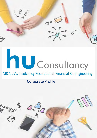

# **AU** Consultancy

## M&A, JVs, Insolvency Resolution & Financial Re-engineering

## Corporate Profile

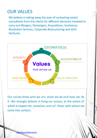## OUR VALUES

We believe in taking away the pain of contacting varied consultants from the clients for different decisions involved to carry out Mergers, Demergers, Acquisitions, Insolvency Resolution Services, Corporate Restructuring and Joint Ventures.



Our values show who we are, what we do and how we do it. We strongly believe in living our values, at the centre of which is respect for ourselves and all those with whom we come into contact.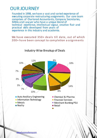## OUR JOURNEY

Founded in 1998, we have a vast and varied experience of executing corporate restructuring assignments. Our core team comprises of Chartered Accountants, Company Secretaries, MBAs and Lawyer who have a unique blend of technical excellence, intellectual vigour, creative flair and practical skills developed from years of experience in this industry and academia.

We have executed 350+ deals till date, out of which 200+ ha ve been concept to completion a ssignments



Industry-Wise Breakup of Deals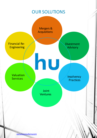## OUR SOLUTIONS

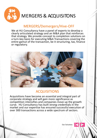<span id="page-4-0"></span>

# MERGERS& ACQUISITONS

### MERGERS/Demergers/Hive-OFF

We at HU Consultancy have a panel of experts to develop a clearly articulated strategy and an M&A plan that reinforces that strategy. We provide concept to completion solutions on a turn-key basis for executing M&A Transactions covering the entire gamut of the transaction, be it structuring, tax, finance or regulatory.



## ACQUISITIONS

Acquisitions have become an essential and integral part of corporate strategy and will gain more significance as competition intensifies and companies move up the growth curve. HU Consultancy has built strong credentials in the market and our expertise has ensured successful execution of over 300 transactions across a wide spectrum of sectors.

Our Solutions

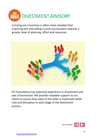<span id="page-5-0"></span>

Carrying out a business is often more complex than acquiring one and selling a carve-out business requires a greater level of planning, effort and resources.



HU Consultancy has extensive experience in divestment and sale of businesses. We provide complete support to our clients to ensure that value of the seller is maximized while risks and disruption to each stage of the divestment process.

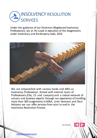<span id="page-6-0"></span>

Under the guidance of our Chairman (Registered Insolvency Professional), we at HU assist in execution of the Assignments under Insolvency and Bankruptcy Code, 2016



We are empanelled with various banks and ARCs as Insolvency Professional. Armed with internal team of Professionals(CAs, CS and Lawyers) and a robust network of valuers and business experts through our experience of handling more than 300 assignments in M&A, Joint Ventures and Deal Advisory we can offer services from start to end in the Insolvency Resolution Process.

Our Solutions

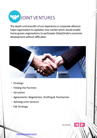<span id="page-7-0"></span>

The depth and breadth of our experience in corporate alliances [helps organization to capitalize new market which would enable](#page-8-0)  home-grown organisations to participate Global/India's economic development without difficulties



- Strategy
- Finding the Partners
- Valuation
- Agreements: Negotiation, Drafting & Finalisation
- Advising Joint Venture
- Exit Strategy

Our Solutions

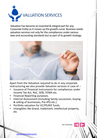<span id="page-8-0"></span>

Valuation has become an essential & integral part for any Corporate Entity as it moves up the growth curve. Business needs valuation services not only for the compliances under various laws and accounting standards but as part of its growth strategy.



Apart from the Valuation required to do in any corporate restructuring we also provide Valuation services in case of –

- Issuance of Financial instruments for compliances under Income Tax Act, RoC, SEBI, FEMA etc.
- Financial Reporting purposes.
- Internal Assessment (including family succession, buying & selling of businesses, Pre-IPO etc.)
- Portfolio valuation for VC/PE/AIF funds
- Intangibles like brand, trademark, Intellectual property, etc

Our Solutions

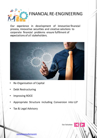<span id="page-9-0"></span>

## FINANCIAL RE-ENGINEERING

Our experience in development of innovative financial process, innovative securities and creative solutions to corporate financial problems ensure fulfilment of expectations of all stakeholders.



- Re-Organisation of Capital
- Debt Restructuring
- Improving ROCE
- Appropriate Structure including Conversion into LLP
- Tax & Legal Advisory

Our Solutions

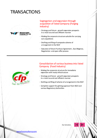

#### Segregation and expansion through acquisition of listed Company (Forging industry)

- Strategy and future growth expansion prospects in a most taxand cost efficient manner
- Making the corporate structure suitable for carrying out acquisitions
- Draftingand filingof composite scheme of arrangement in the NCLT
- Execution of Share Purchase Agreement , Due Diligence, Negotiation and open offer process



#### Consolidation of various businessinto listed Company (Food Industry)

- Making the corporate structure for immediate expansion with ready infrastructure
- Strategy and future growth expansion prospects in a most taxand cost efficient manner
- Drafting and filing of scheme of arrangement in the NCLT
- Complete support for getting approval from NCLT and various Regulatory Authorities

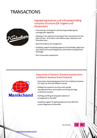

#### Segregating business and collapsing holding company Structure (Oil Engines and Compressor)

- Formulatinga strategy for restructuring considering the management objectives
- Advising on the optimal structuring of the transaction from the point of view of all direct and indirect taxes, Corporate and Securities Laws
- Draft the Scheme of arrangement
- Complete support for gettingapproval from Bombay High Court (now NCLT) and various Regulatory Authoritiesincluding Stock Exchanges
- Post transaction compliances



#### Separation of Growth Oriented businessfrom traditional business(Food Industry)

- Separation of growing business from the traditional business in a most tax and cost efficient manner
- Making the corporate structure with specific management focus and suitable attracting strategic or financial investors
- Drafting and filing of composite scheme of arrangement in the NCLT
- Complete support for getting approval from NCLT and various Regulatory Authorities

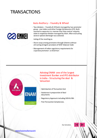

#### Auto Ancillary – Foundry & Wheel

- Two divisions Foundry & Wheels managed by two promoter group - one Indian and other Foreign Collaborator(FC). Both wanted to separate in a manner that they control majority stake in respective division managed by them. After evaluating several options Demerger was selected.
	- Listing of the resulting co.
- Share swap among promoters through Scheme without attracting stringent provisions of SEBI Takeover Code
- Management of Indian regulatory requirementsfor J apanese promotor as Chairman



Advising ENAM one of the largest Investment Banker and IPO distributor in India-- Structuring the deal & Valuation

- Optimisation of Transaction Cost
- Assistance in preparation of deal documents
- Regulatory Approvalsincluding SEBI& RBI.
- Post Transaction Compliances.

Our Solutions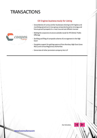

#### Oil Engines businessready for Listing

- Consolidation of various similar businesses relating to Oil Engines and machining spread out in two group companies based on strategy and future growth prospects in a most taxand cost efficient manner
- Makingthe corporate structure suitable ready for IPO(Initial Public Offering)
- Draftingand filing of composite scheme of arrangement in the High **Court**
- Complete support for gettingapproval from Bombay High Court (now NCLT) and various Regulatory Authorities
- Conversion of other promoters company into LLP

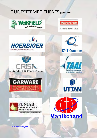# OUR ESTEEMED CLIENTS (partiallist)





A brand of the Wilo Group